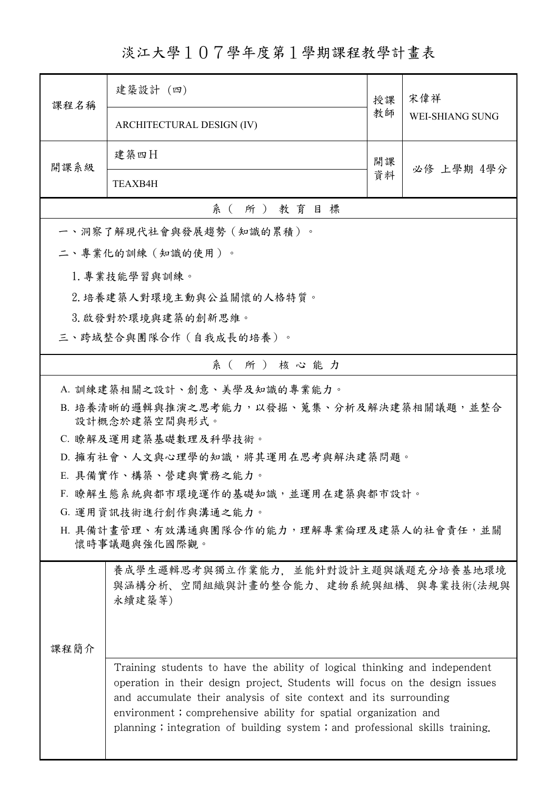淡江大學107學年度第1學期課程教學計畫表

| 課程名稱                                                      | 建築設計 (四)                                                                                                                                                                                                                                                                                                                                                                        | 授課 | 宋偉祥<br><b>WEI-SHIANG SUNG</b> |  |  |  |
|-----------------------------------------------------------|---------------------------------------------------------------------------------------------------------------------------------------------------------------------------------------------------------------------------------------------------------------------------------------------------------------------------------------------------------------------------------|----|-------------------------------|--|--|--|
|                                                           | ARCHITECTURAL DESIGN (IV)                                                                                                                                                                                                                                                                                                                                                       | 教師 |                               |  |  |  |
| 開課系級                                                      | 建築四日                                                                                                                                                                                                                                                                                                                                                                            | 開課 | 必修 上學期 4學分                    |  |  |  |
|                                                           | TEAXB4H                                                                                                                                                                                                                                                                                                                                                                         | 資料 |                               |  |  |  |
|                                                           | 系(所)教育目標                                                                                                                                                                                                                                                                                                                                                                        |    |                               |  |  |  |
|                                                           | 一、洞察了解現代社會與發展趨勢(知識的累積)。                                                                                                                                                                                                                                                                                                                                                         |    |                               |  |  |  |
|                                                           | 二、專業化的訓練(知識的使用)。                                                                                                                                                                                                                                                                                                                                                                |    |                               |  |  |  |
|                                                           | 1. 專業技能學習與訓練。                                                                                                                                                                                                                                                                                                                                                                   |    |                               |  |  |  |
|                                                           | 2. 培養建築人對環境主動與公益關懷的人格特質。                                                                                                                                                                                                                                                                                                                                                        |    |                               |  |  |  |
|                                                           | 3. 啟發對於環境與建築的創新思維。                                                                                                                                                                                                                                                                                                                                                              |    |                               |  |  |  |
| 三、跨域整合與團隊合作(自我成長的培養)。                                     |                                                                                                                                                                                                                                                                                                                                                                                 |    |                               |  |  |  |
| 系(所)核心能力                                                  |                                                                                                                                                                                                                                                                                                                                                                                 |    |                               |  |  |  |
| A. 訓練建築相關之設計、創意、美學及知識的專業能力。                               |                                                                                                                                                                                                                                                                                                                                                                                 |    |                               |  |  |  |
| B. 培養清晰的邏輯與推演之思考能力,以發掘、蒐集、分析及解決建築相關議題,並整合                 |                                                                                                                                                                                                                                                                                                                                                                                 |    |                               |  |  |  |
| 設計概念於建築空間與形式。                                             |                                                                                                                                                                                                                                                                                                                                                                                 |    |                               |  |  |  |
| C. 瞭解及運用建築基礎數理及科學技術。<br>D. 擁有社會、人文與心理學的知識,將其運用在思考與解決建築問題。 |                                                                                                                                                                                                                                                                                                                                                                                 |    |                               |  |  |  |
| E. 具備實作、構築、營建與實務之能力。                                      |                                                                                                                                                                                                                                                                                                                                                                                 |    |                               |  |  |  |
| F. 瞭解生態系統與都市環境運作的基礎知識,並運用在建築與都市設計。                        |                                                                                                                                                                                                                                                                                                                                                                                 |    |                               |  |  |  |
| G. 運用資訊技術進行創作與溝通之能力。                                      |                                                                                                                                                                                                                                                                                                                                                                                 |    |                               |  |  |  |
| H. 具備計畫管理、有效溝通與團隊合作的能力,理解專業倫理及建築人的社會責任,並關<br>懷時事議題與強化國際觀。 |                                                                                                                                                                                                                                                                                                                                                                                 |    |                               |  |  |  |
| 课程简介                                                      | 養成學生邏輯思考與獨立作業能力,並能針對設計主題與議題充分培養基地環境<br>與涵構分析、空間組織與計畫的整合能力、建物系統與組構、與專業技術(法規與<br>永續建築等)                                                                                                                                                                                                                                                                                           |    |                               |  |  |  |
|                                                           | Training students to have the ability of logical thinking and independent<br>operation in their design project. Students will focus on the design issues<br>and accumulate their analysis of site context and its surrounding<br>environment; comprehensive ability for spatial organization and<br>planning; integration of building system; and professional skills training. |    |                               |  |  |  |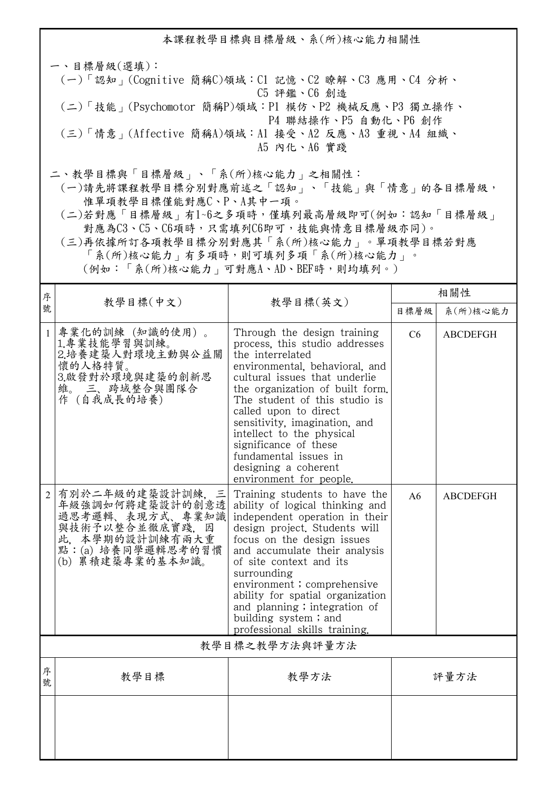本課程教學目標與目標層級、系(所)核心能力相關性 一、目標層級(選填): (一)「認知」(Cognitive 簡稱C)領域:C1 記憶、C2 瞭解、C3 應用、C4 分析、 C5 評鑑、C6 創造 (二)「技能」(Psychomotor 簡稱P)領域:P1 模仿、P2 機械反應、P3 獨立操作、 P4 聯結操作、P5 自動化、P6 創作 (三)「情意」(Affective 簡稱A)領域:A1 接受、A2 反應、A3 重視、A4 組織、 A5 內化、A6 實踐 二、教學目標與「目標層級」、「系(所)核心能力」之相關性:

 (一)請先將課程教學目標分別對應前述之「認知」、「技能」與「情意」的各目標層級, 惟單項教學目標僅能對應C、P、A其中一項。

 (二)若對應「目標層級」有1~6之多項時,僅填列最高層級即可(例如:認知「目標層級」 對應為C3、C5、C6項時,只需填列C6即可,技能與情意目標層級亦同)。

 (三)再依據所訂各項教學目標分別對應其「系(所)核心能力」。單項教學目標若對應 「系(所)核心能力」有多項時,則可填列多項「系(所)核心能力」。

(例如:「系(所)核心能力」可對應A、AD、BEF時,則均填列。)

| 序              |                                                                                                                                     | 教學目標(英文)                                                                                                                                                                                                                                                                                                                                                                                                             | 相關性  |                 |  |  |
|----------------|-------------------------------------------------------------------------------------------------------------------------------------|----------------------------------------------------------------------------------------------------------------------------------------------------------------------------------------------------------------------------------------------------------------------------------------------------------------------------------------------------------------------------------------------------------------------|------|-----------------|--|--|
| 號              | 教學目標(中文)                                                                                                                            |                                                                                                                                                                                                                                                                                                                                                                                                                      | 目標層級 | 系(所)核心能力        |  |  |
| $\mathbf{1}$   | 專業化的訓練 (知識的使用)。<br>1.專業技能學習與訓練。<br>2.培養建築人對環境主動與公益關<br>懷的人格特質。<br>3.啟發對於環境與建築的創新思<br>維。 三、跨域整合與團隊合<br>作 (自我成長的培養)                   | Through the design training<br>process, this studio addresses<br>the interrelated<br>environmental, behavioral, and<br>cultural issues that underlie<br>the organization of built form.<br>The student of this studio is<br>called upon to direct<br>sensitivity, imagination, and<br>intellect to the physical<br>significance of these<br>fundamental issues in<br>designing a coherent<br>environment for people. | C6   | <b>ABCDEFGH</b> |  |  |
| $\overline{2}$ | 有別於二年級的建築設計訓練,三<br>年級強調如何將建築設計的創意透<br>過思考邏輯、表現方式、專業知識<br>與技術予以整合並徹底實踐, 因<br>此、本學期的設計訓練有兩大重<br>點:(a) 培養同學邏輯思考的習慣<br>(b) 累積建築專業的基本知識。 | Training students to have the<br>ability of logical thinking and<br>independent operation in their<br>design project. Students will<br>focus on the design issues<br>and accumulate their analysis<br>of site context and its<br>surrounding<br>environment; comprehensive<br>ability for spatial organization<br>and planning; integration of<br>building system; and<br>professional skills training.              | A6   | <b>ABCDEFGH</b> |  |  |
|                | 教學目標之教學方法與評量方法                                                                                                                      |                                                                                                                                                                                                                                                                                                                                                                                                                      |      |                 |  |  |
| 序<br>號         | 教學目標                                                                                                                                | 教學方法                                                                                                                                                                                                                                                                                                                                                                                                                 | 評量方法 |                 |  |  |
|                |                                                                                                                                     |                                                                                                                                                                                                                                                                                                                                                                                                                      |      |                 |  |  |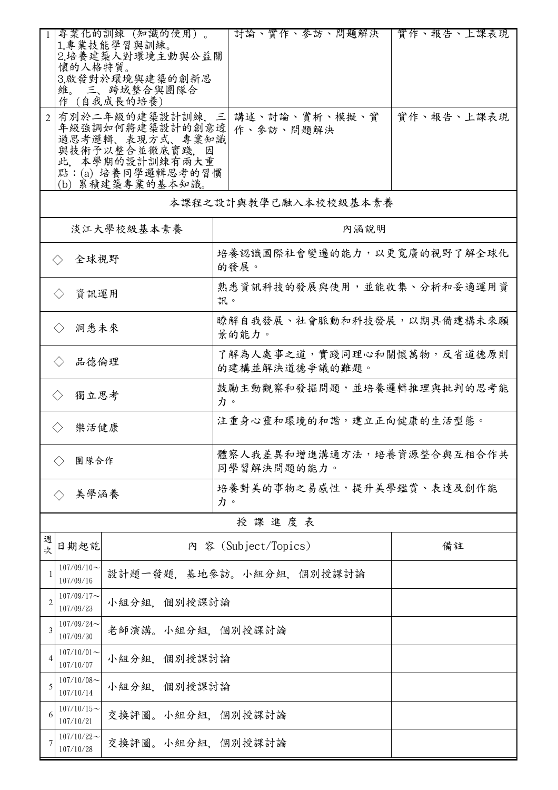|                                                                                                                                     | 專業化的訓練(知識的使用)。<br>1.專業技能學習與訓練。<br>2.培養建築人對環境主動與公益關<br>懷的人格特質。<br>3.啟發對於環境與建築的創新思<br>維。 三、跨域整合與團隊合<br>作(自我成長的培養 |                  |                                 |                                              |  |           | 討論、實作、參訪、問題解決        | 實作、報告、上課表現 |  |
|-------------------------------------------------------------------------------------------------------------------------------------|----------------------------------------------------------------------------------------------------------------|------------------|---------------------------------|----------------------------------------------|--|-----------|----------------------|------------|--|
| 有別於二年級的建築設計訓練,三<br>年級強調如何將建築設計的創意透<br>過思考邏輯、表現方式、專業知識<br>與技術予以整合並徹底實踐, 因<br>此、本學期的設計訓練有兩大重<br>點:(a) 培養同學邏輯思考的習慣<br>(b) 累積建築專業的基本知識。 |                                                                                                                |                  |                                 |                                              |  | 作、參訪、問題解決 | 講述、討論、賞析、模擬、實        | 實作、報告、上課表現 |  |
|                                                                                                                                     |                                                                                                                |                  |                                 |                                              |  |           | 本課程之設計與教學已融入本校校級基本素養 |            |  |
|                                                                                                                                     |                                                                                                                | 淡江大學校級基本素養       |                                 | 內涵說明                                         |  |           |                      |            |  |
|                                                                                                                                     | 全球視野<br>$\left\langle \ \right\rangle$                                                                         |                  |                                 | 培養認識國際社會變遷的能力,以更寬廣的視野了解全球化<br>的發展。           |  |           |                      |            |  |
|                                                                                                                                     | 資訊運用                                                                                                           |                  |                                 | 熟悉資訊科技的發展與使用,並能收集、分析和妥適運用資<br>訊。             |  |           |                      |            |  |
|                                                                                                                                     | 洞悉未來<br>$\langle \ \rangle$                                                                                    |                  |                                 | 瞭解自我發展、社會脈動和科技發展,以期具備建構未來願<br>景的能力。          |  |           |                      |            |  |
|                                                                                                                                     | 品德倫理                                                                                                           |                  |                                 | 了解為人處事之道,實踐同理心和關懷萬物,反省道德原則<br>的建構並解決道德爭議的難題。 |  |           |                      |            |  |
| 獨立思考<br>$\langle \rangle$                                                                                                           |                                                                                                                |                  |                                 | 鼓勵主動觀察和發掘問題,並培養邏輯推理與批判的思考能<br>力。             |  |           |                      |            |  |
| 樂活健康<br>$\langle \rangle$                                                                                                           |                                                                                                                |                  |                                 | 注重身心靈和環境的和諧,建立正向健康的生活型態。                     |  |           |                      |            |  |
| 團隊合作                                                                                                                                |                                                                                                                |                  |                                 | 體察人我差異和增進溝通方法,培養資源整合與互相合作共<br>同學習解決問題的能力。    |  |           |                      |            |  |
| 美學涵養                                                                                                                                |                                                                                                                |                  | 培養對美的事物之易感性,提升美學鑑賞、表達及創作能<br>力。 |                                              |  |           |                      |            |  |
| 授課進度表                                                                                                                               |                                                                                                                |                  |                                 |                                              |  |           |                      |            |  |
| 週<br>次                                                                                                                              | 日期起訖                                                                                                           |                  |                                 | 內 容 (Subject/Topics)                         |  |           |                      | 備註         |  |
| 1                                                                                                                                   | $107/09/10$ ~<br>設計題一發題,基地參訪。小組分組,個別授課討論<br>107/09/16                                                          |                  |                                 |                                              |  |           |                      |            |  |
| $\overline{c}$                                                                                                                      | $107/09/17$ ~<br>小組分組、個別授課討論<br>107/09/23                                                                      |                  |                                 |                                              |  |           |                      |            |  |
| 3                                                                                                                                   | $107/09/24$ ~<br>老師演講。小組分組、個別授課討論<br>107/09/30                                                                 |                  |                                 |                                              |  |           |                      |            |  |
| $\overline{4}$                                                                                                                      | $107/10/01$ ~<br>小組分組、個別授課討論<br>107/10/07                                                                      |                  |                                 |                                              |  |           |                      |            |  |
| 5                                                                                                                                   | $107/10/08$ ~<br>小組分組、個別授課討論<br>107/10/14                                                                      |                  |                                 |                                              |  |           |                      |            |  |
| 6                                                                                                                                   | $107/10/15$ ~<br>107/10/21                                                                                     | 交換評圖。小組分組,個別授課討論 |                                 |                                              |  |           |                      |            |  |
| 7                                                                                                                                   | $107/10/22$ ~<br>107/10/28                                                                                     | 交換評圖。小組分組,個別授課討論 |                                 |                                              |  |           |                      |            |  |